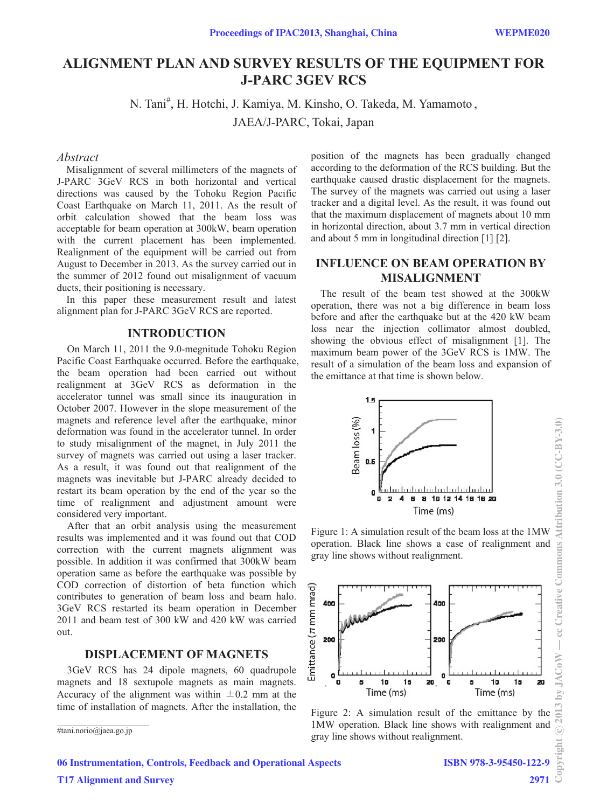# **ALIGNMENT PLAN AND SURVEY RESULTS OF THE EQUIPMENT FOR J-PARC 3GEV RCS**

N. Tani<sup>#</sup>, H. Hotchi, J. Kamiya, M. Kinsho, O. Takeda, M. Yamamoto,

JAEA/J-PARC, Tokai, Japan

#### *Abstract*

Misalignment of several millimeters of the magnets of J-PARC 3GeV RCS in both horizontal and vertical directions was caused by the Tohoku Region Pacific Coast Earthquake on March 11, 2011. As the result of orbit calculation showed that the beam loss was acceptable for beam operation at 300kW, beam operation with the current placement has been implemented. Realignment of the equipment will be carried out from August to December in 2013. As the survey carried out in the summer of 2012 found out misalignment of vacuum ducts, their positioning is necessary.

In this paper these measurement result and latest alignment plan for J-PARC 3GeV RCS are reported.

#### **INTRODUCTION**

On March 11, 2011 the 9.0-megnitude Tohoku Region Pacific Coast Earthquake occurred. Before the earthquake, the beam operation had been carried out without realignment at 3GeV RCS as deformation in the accelerator tunnel was small since its inauguration in October 2007. However in the slope measurement of the magnets and reference level after the earthquake, minor deformation was found in the accelerator tunnel. In order to study misalignment of the magnet, in July 2011 the survey of magnets was carried out using a laser tracker. As a result, it was found out that realignment of the magnets was inevitable but J-PARC already decided to restart its beam operation by the end of the year so the time of realignment and adjustment amount were considered very important.

After that an orbit analysis using the measurement results was implemented and it was found out that COD correction with the current magnets alignment was possible. In addition it was confirmed that 300kW beam operation same as before the earthquake was possible by COD correction of distortion of beta function which contributes to generation of beam loss and beam halo. 3GeV RCS restarted its beam operation in December 2011 and beam test of 300 kW and 420 kW was carried out.

### **DISPLACEMENT OF MAGNETS**

3GeV RCS has 24 dipole magnets, 60 quadrupole magnets and 18 sextupole magnets as main magnets. Accuracy of the alignment was within  $\pm 0.2$  mm at the time of installation of magnets. After the installation, the

\_\_\_\_\_\_\_\_\_\_\_\_\_\_\_\_\_\_\_\_\_\_\_\_\_\_\_\_\_\_\_\_\_\_\_\_\_\_\_\_\_\_\_\_ #tani.norio@jaea.go.jp

position of the magnets has been gradually changed according to the deformation of the RCS building. But the earthquake caused drastic displacement for the magnets. The survey of the magnets was carried out using a laser tracker and a digital level. As the result, it was found out that the maximum displacement of magnets about 10 mm in horizontal direction, about 3.7 mm in vertical direction and about 5 mm in longitudinal direction [1] [2].

## **INFLUENCE ON BEAM OPERATION BY MISALIGNMENT**

The result of the beam test showed at the 300kW operation, there was not a big difference in beam loss before and after the earthquake but at the 420 kW beam loss near the injection collimator almost doubled, showing the obvious effect of misalignment [1]. The maximum beam power of the 3GeV RCS is 1MW. The result of a simulation of the beam loss and expansion of the emittance at that time is shown below.



Figure 1: A simulation result of the beam loss at the 1MW operation. Black line shows a case of realignment and gray line shows without realignment.



1MW operation. Black line shows with realignment and gray line shows without realignment.

Attribution 3.0 (CC-BY-3.0)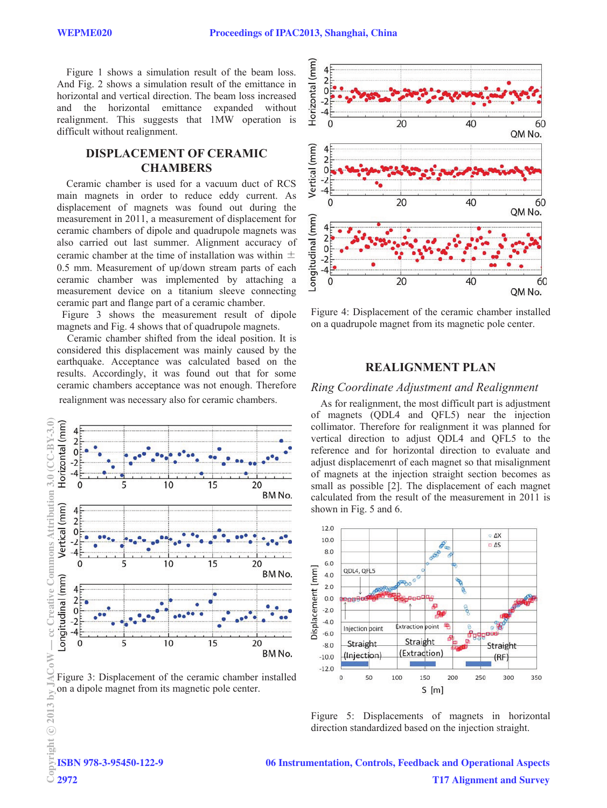Figure 1 shows a simulation result of the beam loss. And Fig. 2 shows a simulation result of the emittance in horizontal and vertical direction. The beam loss increased and the horizontal emittance expanded without realignment. This suggests that 1MW operation is difficult without realignment.

### **DISPLACEMENT OF CERAMIC CHAMBERS**

Ceramic chamber is used for a vacuum duct of RCS main magnets in order to reduce eddy current. As displacement of magnets was found out during the measurement in 2011, a measurement of displacement for ceramic chambers of dipole and quadrupole magnets was also carried out last summer. Alignment accuracy of ceramic chamber at the time of installation was within  $\pm$ 0.5 mm. Measurement of up/down stream parts of each ceramic chamber was implemented by attaching a measurement device on a titanium sleeve connecting ceramic part and flange part of a ceramic chamber.

Figure 3 shows the measurement result of dipole magnets and Fig. 4 shows that of quadrupole magnets.

Ceramic chamber shifted from the ideal position. It is considered this displacement was mainly caused by the earthquake. Acceptance was calculated based on the results. Accordingly, it was found out that for some ceramic chambers acceptance was not enough. Therefore realignment was necessary also for ceramic chambers.



Figure 3: Displacement of the ceramic chamber installed on a dipole magnet from its magnetic pole center.



Figure 4: Displacement of the ceramic chamber installed on a quadrupole magnet from its magnetic pole center.

### **REALIGNMENT PLAN**

#### *Ring Coordinate Adjustment and Realignment*

As for realignment, the most difficult part is adjustment of magnets (QDL4 and QFL5) near the injection collimator. Therefore for realignment it was planned for vertical direction to adjust QDL4 and QFL5 to the reference and for horizontal direction to evaluate and adjust displacemenrt of each magnet so that misalignment of magnets at the injection straight section becomes as small as possible [2]. The displacement of each magnet calculated from the result of the measurement in 2011 is shown in Fig. 5 and 6.



Figure 5: Displacements of magnets in horizontal direction standardized based on the injection straight.

ISBN 978-3-95450-122-9  $\frac{1}{2}$ <sub>D</sub><br> $\frac{1}{2}$ **ISBN**<br> $\frac{1}{2}$ 2972

06 Instrumentation, Controls, Feedback and Operational Aspects T17 Alignment and Survey